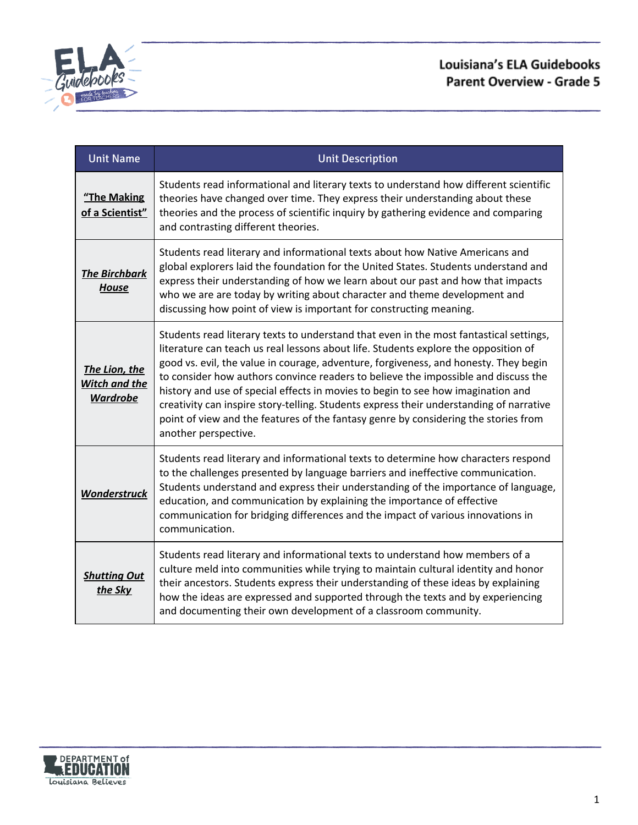

# Louisiana's ELA Guidebooks **Parent Overview - Grade 5**

| <b>Unit Name</b>                                  | <b>Unit Description</b>                                                                                                                                                                                                                                                                                                                                                                                                                                                                                                                                                                                                                                   |
|---------------------------------------------------|-----------------------------------------------------------------------------------------------------------------------------------------------------------------------------------------------------------------------------------------------------------------------------------------------------------------------------------------------------------------------------------------------------------------------------------------------------------------------------------------------------------------------------------------------------------------------------------------------------------------------------------------------------------|
| "The Making<br>of a Scientist"                    | Students read informational and literary texts to understand how different scientific<br>theories have changed over time. They express their understanding about these<br>theories and the process of scientific inquiry by gathering evidence and comparing<br>and contrasting different theories.                                                                                                                                                                                                                                                                                                                                                       |
| <b>The Birchbark</b><br><b>House</b>              | Students read literary and informational texts about how Native Americans and<br>global explorers laid the foundation for the United States. Students understand and<br>express their understanding of how we learn about our past and how that impacts<br>who we are are today by writing about character and theme development and<br>discussing how point of view is important for constructing meaning.                                                                                                                                                                                                                                               |
| The Lion, the<br>Witch and the<br><b>Wardrobe</b> | Students read literary texts to understand that even in the most fantastical settings,<br>literature can teach us real lessons about life. Students explore the opposition of<br>good vs. evil, the value in courage, adventure, forgiveness, and honesty. They begin<br>to consider how authors convince readers to believe the impossible and discuss the<br>history and use of special effects in movies to begin to see how imagination and<br>creativity can inspire story-telling. Students express their understanding of narrative<br>point of view and the features of the fantasy genre by considering the stories from<br>another perspective. |
| Wonderstruck                                      | Students read literary and informational texts to determine how characters respond<br>to the challenges presented by language barriers and ineffective communication.<br>Students understand and express their understanding of the importance of language,<br>education, and communication by explaining the importance of effective<br>communication for bridging differences and the impact of various innovations in<br>communication.                                                                                                                                                                                                                |
| <b>Shutting Out</b><br>the Sky                    | Students read literary and informational texts to understand how members of a<br>culture meld into communities while trying to maintain cultural identity and honor<br>their ancestors. Students express their understanding of these ideas by explaining<br>how the ideas are expressed and supported through the texts and by experiencing<br>and documenting their own development of a classroom community.                                                                                                                                                                                                                                           |

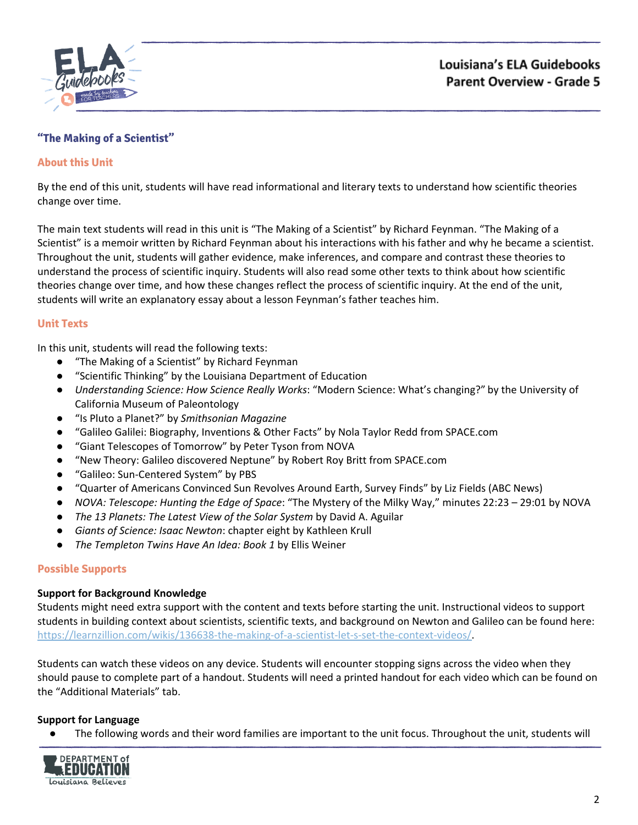

## <span id="page-1-0"></span>**"The Making of a Scientist"**

#### **About this Unit**

By the end of this unit, students will have read informational and literary texts to understand how scientific theories change over time.

The main text students will read in this unit is "The Making of a Scientist" by Richard Feynman. "The Making of a Scientist" is a memoir written by Richard Feynman about his interactions with his father and why he became a scientist. Throughout the unit, students will gather evidence, make inferences, and compare and contrast these theories to understand the process of scientific inquiry. Students will also read some other texts to think about how scientific theories change over time, and how these changes reflect the process of scientific inquiry. At the end of the unit, students will write an explanatory essay about a lesson Feynman's father teaches him.

#### **Unit Texts**

In this unit, students will read the following texts:

- "The Making of a Scientist" by Richard Feynman
- "Scientific Thinking" by the Louisiana Department of Education
- *Understanding Science: How Science Really Works*: "Modern Science: What's changing?" by the University of California Museum of Paleontology
- "Is Pluto a Planet?" by *Smithsonian Magazine*
- "Galileo Galilei: Biography, Inventions & Other Facts" by Nola Taylor Redd from SPACE.com
- "Giant Telescopes of Tomorrow" by Peter Tyson from NOVA
- "New Theory: Galileo discovered Neptune" by Robert Roy Britt from SPACE.com
- "Galileo: Sun-Centered System" by PBS
- "Quarter of Americans Convinced Sun Revolves Around Earth, Survey Finds" by Liz Fields (ABC News)
- *NOVA: Telescope: Hunting the Edge of Space*: "The Mystery of the Milky Way," minutes 22:23 29:01 by NOVA
- *The 13 Planets: The Latest View of the Solar System* by David A. Aguilar
- *Giants of Science: Isaac Newton*: chapter eight by Kathleen Krull
- *The Templeton Twins Have An Idea: Book 1* by Ellis Weiner

#### **Possible Supports**

#### **Support for Background Knowledge**

Students might need extra support with the content and texts before starting the unit. Instructional videos to support students in building context about scientists, scientific texts, and background on Newton and Galileo can be found here: [https://learnzillion.com/wikis/136638-the-making-of-a-scientist-let-s-set-the-context-videos/.](https://learnzillion.com/wikis/136638-the-making-of-a-scientist-let-s-set-the-context-videos/)

Students can watch these videos on any device. Students will encounter stopping signs across the video when they should pause to complete part of a handout. Students will need a printed handout for each video which can be found on the "Additional Materials" tab.

#### **Support for Language**

● The following words and their word families are important to the unit focus. Throughout the unit, students will

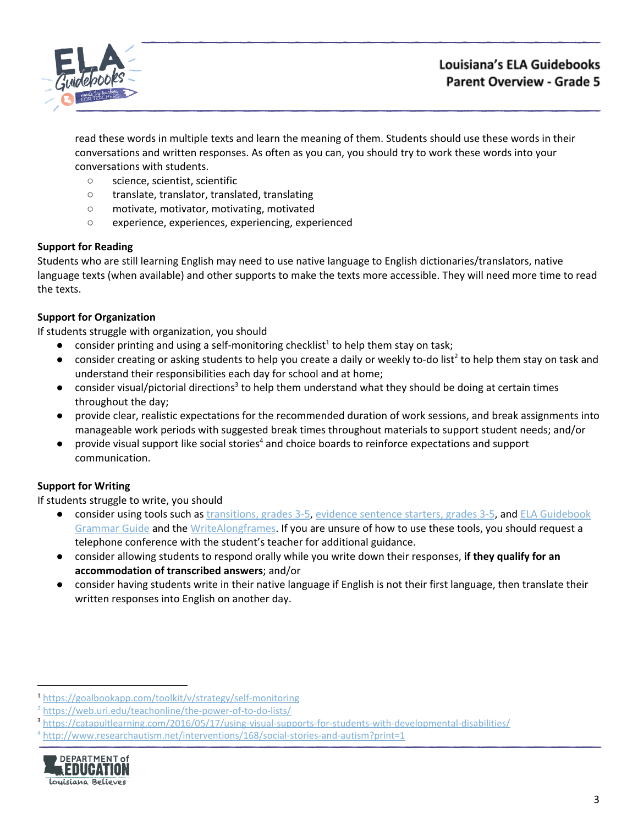

read these words in multiple texts and learn the meaning of them. Students should use these words in their conversations and written responses. As often as you can, you should try to work these words into your conversations with students.

- science, scientist, scientific
- translate, translator, translated, translating
- motivate, motivator, motivating, motivated
- experience, experiences, experiencing, experienced

## **Support for Reading**

Students who are still learning English may need to use native language to English dictionaries/translators, native language texts (when available) and other supports to make the texts more accessible. They will need more time to read the texts.

# **Support for Organization**

If students struggle with organization, you should

- $\bullet$  consider printing and using a self-monitoring checklist<sup>1</sup> to help them stay on task;
- $\bullet$  consider creating or asking students to help you create a daily or weekly to-do list<sup>2</sup> to help them stay on task and understand their responsibilities each day for school and at home;
- $\bullet$  consider visual/pictorial directions<sup>3</sup> to help them understand what they should be doing at certain times throughout the day;
- provide clear, realistic expectations for the recommended duration of work sessions, and break assignments into manageable work periods with suggested break times throughout materials to support student needs; and/or
- $\bullet$  provide visual support like social stories<sup>4</sup> and choice boards to reinforce expectations and support communication.

## **Support for Writing**

- consider using tools such as [transitions,](https://learnzillion.com/resources/157892/) grades 3-5, evidence [sentence](https://learnzillion.com/resources/157864/) starters, grades 3-5, and ELA [Guidebook](https://learnzillion.com/resources/81043) [Grammar](https://learnzillion.com/resources/81043) Guide and th[e](https://learnzillion.com/resources/39149-writealong) [WriteAlong](https://learnzillion.com/resources/39149-writealong)[frames.](https://learnzillion.com/resources/116858/) If you are unsure of how to use these tools, you should request a telephone conference with the student's teacher for additional guidance.
- consider allowing students to respond orally while you write down their responses, **if they qualify for an accommodation of transcribed answers**; and/or
- **●** consider having students write in their native language if English is not their first language, then translate their written responses into English on another day.

<sup>4</sup> <http://www.researchautism.net/interventions/168/social-stories-and-autism?print=1>



<sup>1</sup> <https://goalbookapp.com/toolkit/v/strategy/self-monitoring>

<sup>&</sup>lt;sup>2</sup> <https://web.uri.edu/teachonline/the-power-of-to-do-lists/>

<sup>3</sup> <https://catapultlearning.com/2016/05/17/using-visual-supports-for-students-with-developmental-disabilities/>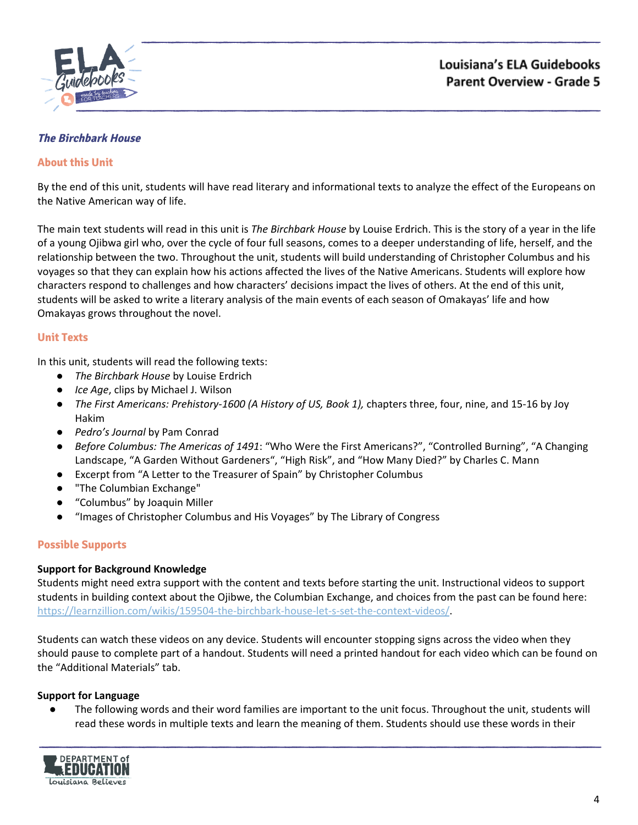

#### <span id="page-3-0"></span>**The Birchbark House**

#### **About this Unit**

By the end of this unit, students will have read literary and informational texts to analyze the effect of the Europeans on the Native American way of life.

The main text students will read in this unit is *The Birchbark House* by Louise Erdrich. This is the story of a year in the life of a young Ojibwa girl who, over the cycle of four full seasons, comes to a deeper understanding of life, herself, and the relationship between the two. Throughout the unit, students will build understanding of Christopher Columbus and his voyages so that they can explain how his actions affected the lives of the Native Americans. Students will explore how characters respond to challenges and how characters' decisions impact the lives of others. At the end of this unit, students will be asked to write a literary analysis of the main events of each season of Omakayas' life and how Omakayas grows throughout the novel.

#### **Unit Texts**

In this unit, students will read the following texts:

- *The Birchbark House* by Louise Erdrich
- *Ice Age*, clips by Michael J. Wilson
- *The First Americans: Prehistory-1600 (A History of US, Book 1),* chapters three, four, nine, and 15-16 by Joy Hakim
- *Pedro's Journal* by Pam Conrad
- *Before Columbus: The Americas of 1491*: "Who Were the First Americans?", "Controlled Burning", "A Changing Landscape, "A Garden Without Gardeners", "High Risk", and "How Many Died?" by Charles C. Mann
- Excerpt from "A Letter to the Treasurer of Spain" by Christopher Columbus
- "The Columbian Exchange"
- "Columbus" by Joaquin Miller
- "Images of Christopher Columbus and His Voyages" by The Library of Congress

## **Possible Supports**

#### **Support for Background Knowledge**

Students might need extra support with the content and texts before starting the unit. Instructional videos to support students in building context about the Ojibwe, the Columbian Exchange, and choices from the past can be found here: <https://learnzillion.com/wikis/159504-the-birchbark-house-let-s-set-the-context-videos/>.

Students can watch these videos on any device. Students will encounter stopping signs across the video when they should pause to complete part of a handout. Students will need a printed handout for each video which can be found on the "Additional Materials" tab.

#### **Support for Language**

● The following words and their word families are important to the unit focus. Throughout the unit, students will read these words in multiple texts and learn the meaning of them. Students should use these words in their

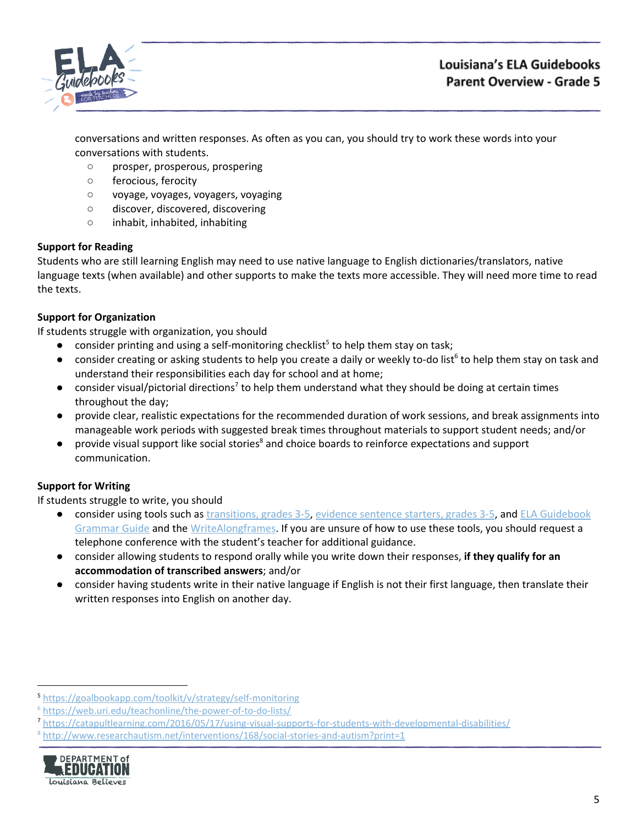

# Louisiana's ELA Guidebooks **Parent Overview - Grade 5**

conversations and written responses. As often as you can, you should try to work these words into your conversations with students.

- prosper, prosperous, prospering
- ferocious, ferocity
- voyage, voyages, voyagers, voyaging
- discover, discovered, discovering
- inhabit, inhabited, inhabiting

## **Support for Reading**

Students who are still learning English may need to use native language to English dictionaries/translators, native language texts (when available) and other supports to make the texts more accessible. They will need more time to read the texts.

# **Support for Organization**

If students struggle with organization, you should

- $\bullet$  consider printing and using a self-monitoring checklist<sup>5</sup> to help them stay on task;
- $\bullet$  consider creating or asking students to help you create a daily or weekly to-do list<sup>6</sup> to help them stay on task and understand their responsibilities each day for school and at home;
- $\bullet$  consider visual/pictorial directions<sup>7</sup> to help them understand what they should be doing at certain times throughout the day;
- provide clear, realistic expectations for the recommended duration of work sessions, and break assignments into manageable work periods with suggested break times throughout materials to support student needs; and/or
- $\bullet$  provide visual support like social stories<sup>8</sup> and choice boards to reinforce expectations and support communication.

# **Support for Writing**

- consider using tools such as [transitions,](https://learnzillion.com/resources/157892/) grades 3-5, evidence [sentence](https://learnzillion.com/resources/157864/) starters, grades 3-5, and ELA [Guidebook](https://learnzillion.com/resources/81043) [Grammar](https://learnzillion.com/resources/81043) Guide and th[e](https://learnzillion.com/resources/39149-writealong) [WriteAlong](https://learnzillion.com/resources/39149-writealong)[frames.](https://learnzillion.com/resources/116858/) If you are unsure of how to use these tools, you should request a telephone conference with the student's teacher for additional guidance.
- consider allowing students to respond orally while you write down their responses, **if they qualify for an accommodation of transcribed answers**; and/or
- **●** consider having students write in their native language if English is not their first language, then translate their written responses into English on another day.

<sup>8</sup> <http://www.researchautism.net/interventions/168/social-stories-and-autism?print=1>



<sup>5</sup> <https://goalbookapp.com/toolkit/v/strategy/self-monitoring>

<sup>6</sup> <https://web.uri.edu/teachonline/the-power-of-to-do-lists/>

<sup>7</sup> <https://catapultlearning.com/2016/05/17/using-visual-supports-for-students-with-developmental-disabilities/>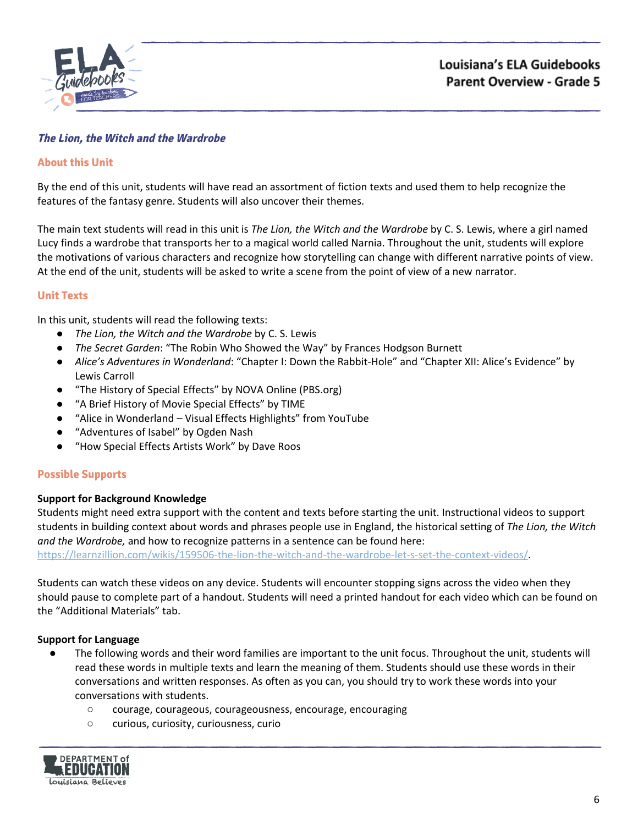

# <span id="page-5-0"></span>**The Lion, the Witch and the Wardrobe**

#### **About this Unit**

By the end of this unit, students will have read an assortment of fiction texts and used them to help recognize the features of the fantasy genre. Students will also uncover their themes.

The main text students will read in this unit is *The Lion, the Witch and the Wardrobe* by C. S. Lewis, where a girl named Lucy finds a wardrobe that transports her to a magical world called Narnia. Throughout the unit, students will explore the motivations of various characters and recognize how storytelling can change with different narrative points of view. At the end of the unit, students will be asked to write a scene from the point of view of a new narrator.

#### **Unit Texts**

In this unit, students will read the following texts:

- *● The Lion, the Witch and the Wardrobe* by C. S. Lewis
- *The Secret Garden*: "The Robin Who Showed the Way" by Frances Hodgson Burnett
- *Alice's Adventures in Wonderland*: "Chapter I: Down the Rabbit-Hole" and "Chapter XII: Alice's Evidence" by Lewis Carroll
- "The History of Special Effects" by NOVA Online (PBS.org)
- "A Brief History of Movie Special Effects" by TIME
- "Alice in Wonderland Visual Effects Highlights" from YouTube
- "Adventures of Isabel" by Ogden Nash
- "How Special Effects Artists Work" by Dave Roos

#### **Possible Supports**

#### **Support for Background Knowledge**

Students might need extra support with the content and texts before starting the unit. Instructional videos to support students in building context about words and phrases people use in England, the historical setting of *The Lion, the Witch and the Wardrobe,* and how to recognize patterns in a sentence can be found here:

[https://learnzillion.com/wikis/159506-the-lion-the-witch-and-the-wardrobe-let-s-set-the-context-videos/.](https://learnzillion.com/wikis/159506-the-lion-the-witch-and-the-wardrobe-let-s-set-the-context-videos/)

Students can watch these videos on any device. Students will encounter stopping signs across the video when they should pause to complete part of a handout. Students will need a printed handout for each video which can be found on the "Additional Materials" tab.

#### **Support for Language**

- The following words and their word families are important to the unit focus. Throughout the unit, students will read these words in multiple texts and learn the meaning of them. Students should use these words in their conversations and written responses. As often as you can, you should try to work these words into your conversations with students.
	- courage, courageous, courageousness, encourage, encouraging
	- curious, curiosity, curiousness, curio

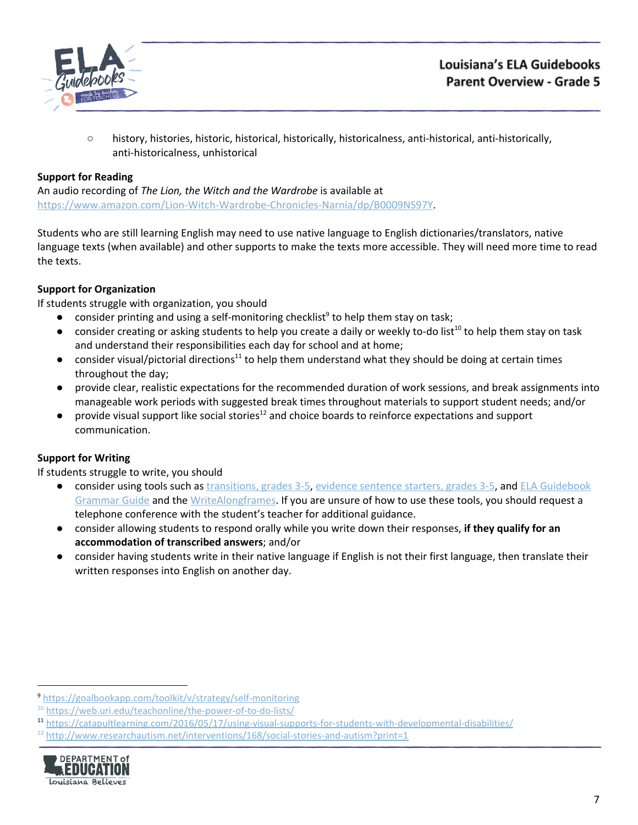

○ history, histories, historic, historical, historically, historicalness, anti-historical, anti-historically, anti-historicalness, unhistorical

## **Support for Reading**

An audio recording of *The Lion, the Witch and the Wardrobe* is available at [https://www.amazon.com/Lion-Witch-Wardrobe-Chronicles-Narnia/dp/B0009NS97Y.](https://www.amazon.com/Lion-Witch-Wardrobe-Chronicles-Narnia/dp/B0009NS97Y)

Students who are still learning English may need to use native language to English dictionaries/translators, native language texts (when available) and other supports to make the texts more accessible. They will need more time to read the texts.

#### **Support for Organization**

If students struggle with organization, you should

- $\bullet$  consider printing and using a self-monitoring checklist<sup>9</sup> to help them stay on task;
- $\bullet$  consider creating or asking students to help you create a daily or weekly to-do list<sup>10</sup> to help them stay on task and understand their responsibilities each day for school and at home;
- consider visual/pictorial directions<sup>11</sup> to help them understand what they should be doing at certain times throughout the day;
- provide clear, realistic expectations for the recommended duration of work sessions, and break assignments into manageable work periods with suggested break times throughout materials to support student needs; and/or
- $\bullet$  provide visual support like social stories<sup>12</sup> and choice boards to reinforce expectations and support communication.

## **Support for Writing**

- consider using tools such as [transitions,](https://learnzillion.com/resources/157892/) grades 3-5, evidence [sentence](https://learnzillion.com/resources/157864/) starters, grades 3-5, and ELA [Guidebook](https://learnzillion.com/resources/81043) [Grammar](https://learnzillion.com/resources/81043) Guide and th[e](https://learnzillion.com/resources/39149-writealong) [WriteAlong](https://learnzillion.com/resources/39149-writealong)[frames.](https://learnzillion.com/resources/116858/) If you are unsure of how to use these tools, you should request a telephone conference with the student's teacher for additional guidance.
- consider allowing students to respond orally while you write down their responses, **if they qualify for an accommodation of transcribed answers**; and/or
- **●** consider having students write in their native language if English is not their first language, then translate their written responses into English on another day.

 $12$  <http://www.researchautism.net/interventions/168/social-stories-and-autism?print=1>



<sup>9</sup> <https://goalbookapp.com/toolkit/v/strategy/self-monitoring>

<sup>&</sup>lt;sup>10</sup> <https://web.uri.edu/teachonline/the-power-of-to-do-lists/>

<sup>11</sup> <https://catapultlearning.com/2016/05/17/using-visual-supports-for-students-with-developmental-disabilities/>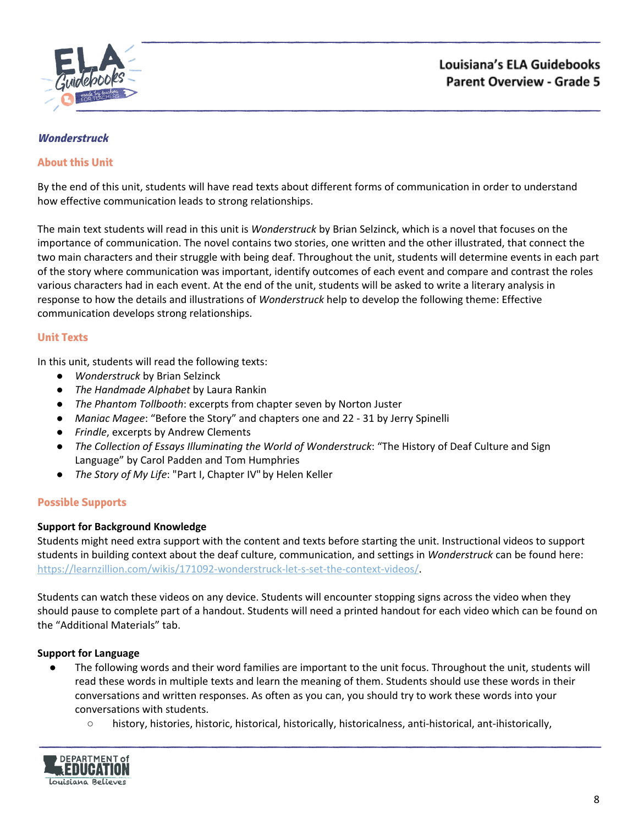

# <span id="page-7-0"></span>**Wonderstruck**

## **About this Unit**

By the end of this unit, students will have read texts about different forms of communication in order to understand how effective communication leads to strong relationships.

The main text students will read in this unit is *Wonderstruck* by Brian Selzinck, which is a novel that focuses on the importance of communication. The novel contains two stories, one written and the other illustrated, that connect the two main characters and their struggle with being deaf. Throughout the unit, students will determine events in each part of the story where communication was important, identify outcomes of each event and compare and contrast the roles various characters had in each event. At the end of the unit, students will be asked to write a literary analysis in response to how the details and illustrations of *Wonderstruck* help to develop the following theme: Effective communication develops strong relationships.

#### **Unit Texts**

In this unit, students will read the following texts:

- *Wonderstruck* by Brian Selzinck
- *The Handmade Alphabet* by Laura Rankin
- *The Phantom Tollbooth*: excerpts from chapter seven by Norton Juster
- *Maniac Magee*: "Before the Story" and chapters one and 22 31 by Jerry Spinelli
- *Frindle*, excerpts by Andrew Clements
- *● The Collection of Essays Illuminating the World of Wonderstruck*: "The History of Deaf Culture and Sign Language" by Carol Padden and Tom Humphries
- *● The Story of My Life*: "Part I, Chapter IV" by Helen Keller

#### **Possible Supports**

#### **Support for Background Knowledge**

Students might need extra support with the content and texts before starting the unit. Instructional videos to support students in building context about the deaf culture, communication, and settings in *Wonderstruck* can be found here: <https://learnzillion.com/wikis/171092-wonderstruck-let-s-set-the-context-videos/>.

Students can watch these videos on any device. Students will encounter stopping signs across the video when they should pause to complete part of a handout. Students will need a printed handout for each video which can be found on the "Additional Materials" tab.

#### **Support for Language**

- The following words and their word families are important to the unit focus. Throughout the unit, students will read these words in multiple texts and learn the meaning of them. Students should use these words in their conversations and written responses. As often as you can, you should try to work these words into your conversations with students.
	- history, histories, historic, historical, historically, historicalness, anti-historical, ant-ihistorically,

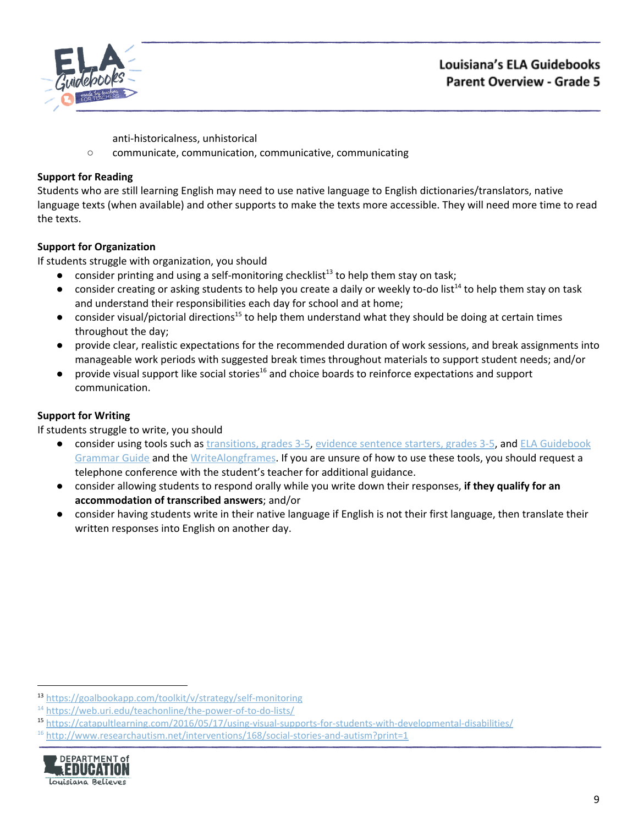



anti-historicalness, unhistorical

○ communicate, communication, communicative, communicating

# **Support for Reading**

Students who are still learning English may need to use native language to English dictionaries/translators, native language texts (when available) and other supports to make the texts more accessible. They will need more time to read the texts.

# **Support for Organization**

If students struggle with organization, you should

- $\bullet$  consider printing and using a self-monitoring checklist<sup>13</sup> to help them stay on task;
- $\bullet$  consider creating or asking students to help you create a daily or weekly to-do list<sup>14</sup> to help them stay on task and understand their responsibilities each day for school and at home;
- $\bullet$  consider visual/pictorial directions<sup>15</sup> to help them understand what they should be doing at certain times throughout the day;
- provide clear, realistic expectations for the recommended duration of work sessions, and break assignments into manageable work periods with suggested break times throughout materials to support student needs; and/or
- $\bullet$  provide visual support like social stories<sup>16</sup> and choice boards to reinforce expectations and support communication.

# **Support for Writing**

- consider using tools such as [transitions,](https://learnzillion.com/resources/157892/) grades 3-5, evidence [sentence](https://learnzillion.com/resources/157864/) starters, grades 3-5, and ELA [Guidebook](https://learnzillion.com/resources/81043) [Grammar](https://learnzillion.com/resources/81043) Guide and th[e](https://learnzillion.com/resources/39149-writealong) [WriteAlong](https://learnzillion.com/resources/39149-writealong)[frames.](https://learnzillion.com/resources/116858/) If you are unsure of how to use these tools, you should request a telephone conference with the student's teacher for additional guidance.
- consider allowing students to respond orally while you write down their responses, **if they qualify for an accommodation of transcribed answers**; and/or
- **●** consider having students write in their native language if English is not their first language, then translate their written responses into English on another day.

 $16$  <http://www.researchautism.net/interventions/168/social-stories-and-autism?print=1>



<sup>13</sup> <https://goalbookapp.com/toolkit/v/strategy/self-monitoring>

<sup>&</sup>lt;sup>14</sup> <https://web.uri.edu/teachonline/the-power-of-to-do-lists/>

<sup>15</sup> <https://catapultlearning.com/2016/05/17/using-visual-supports-for-students-with-developmental-disabilities/>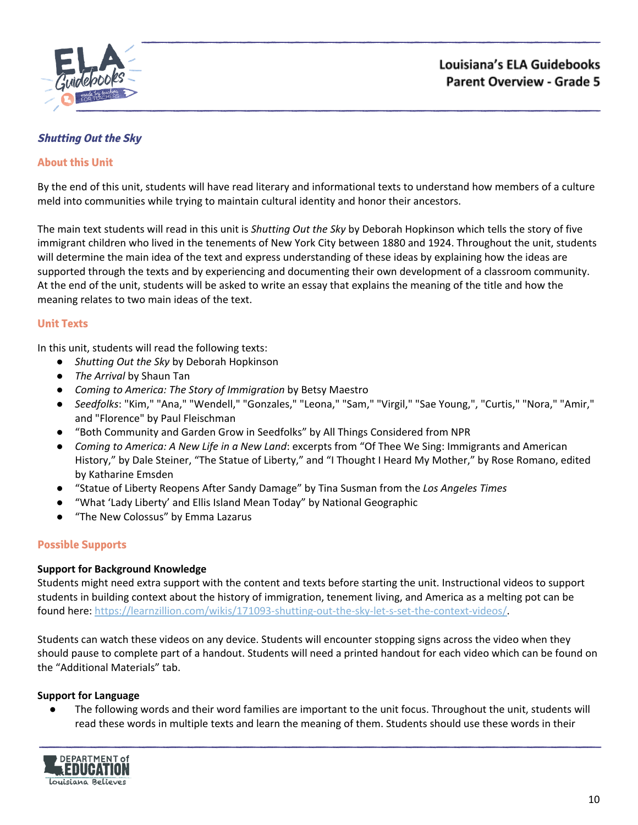

# <span id="page-9-0"></span>**Shutting Out the Sky**

#### **About this Unit**

By the end of this unit, students will have read literary and informational texts to understand how members of a culture meld into communities while trying to maintain cultural identity and honor their ancestors.

The main text students will read in this unit is *Shutting Out the Sky* by Deborah Hopkinson which tells the story of five immigrant children who lived in the tenements of New York City between 1880 and 1924. Throughout the unit, students will determine the main idea of the text and express understanding of these ideas by explaining how the ideas are supported through the texts and by experiencing and documenting their own development of a classroom community. At the end of the unit, students will be asked to write an essay that explains the meaning of the title and how the meaning relates to two main ideas of the text.

#### **Unit Texts**

In this unit, students will read the following texts:

- *Shutting Out the Sky* by Deborah Hopkinson
- *The Arrival* by Shaun Tan
- *Coming to America: The Story of Immigration* by Betsy Maestro
- *Seedfolks*: "Kim," "Ana," "Wendell," "Gonzales," "Leona," "Sam," "Virgil," "Sae Young,", "Curtis," "Nora," "Amir," and "Florence" by Paul Fleischman
- "Both Community and Garden Grow in Seedfolks" by All Things Considered from NPR
- *Coming to America: A New Life in a New Land*: excerpts from "Of Thee We Sing: Immigrants and American History," by Dale Steiner, "The Statue of Liberty," and "I Thought I Heard My Mother," by Rose Romano, edited by Katharine Emsden
- "Statue of Liberty Reopens After Sandy Damage" by Tina Susman from the *Los Angeles Times*
- "What 'Lady Liberty' and Ellis Island Mean Today" by National Geographic
- "The New Colossus" by Emma Lazarus

## **Possible Supports**

#### **Support for Background Knowledge**

Students might need extra support with the content and texts before starting the unit. Instructional videos to support students in building context about the history of immigration, tenement living, and America as a melting pot can be found here: [https://learnzillion.com/wikis/171093-shutting-out-the-sky-let-s-set-the-context-videos/.](https://learnzillion.com/wikis/171093-shutting-out-the-sky-let-s-set-the-context-videos/)

Students can watch these videos on any device. Students will encounter stopping signs across the video when they should pause to complete part of a handout. Students will need a printed handout for each video which can be found on the "Additional Materials" tab.

#### **Support for Language**

● The following words and their word families are important to the unit focus. Throughout the unit, students will read these words in multiple texts and learn the meaning of them. Students should use these words in their